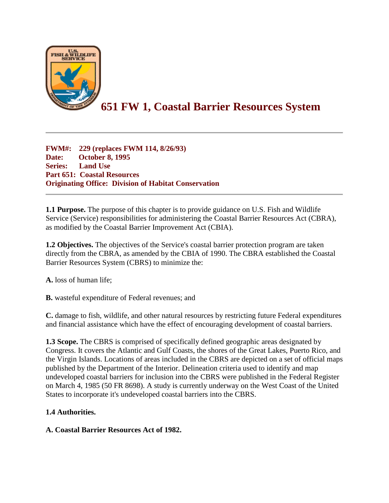

# **651 FW 1, Coastal Barrier Resources System**

**FWM#: 229 (replaces FWM 114, 8/26/93) Date: October 8, 1995 Series: Land Use Part 651: Coastal Resources Originating Office: Division of Habitat Conservation**

**1.1 Purpose.** The purpose of this chapter is to provide guidance on U.S. Fish and Wildlife Service (Service) responsibilities for administering the Coastal Barrier Resources Act (CBRA), as modified by the Coastal Barrier Improvement Act (CBIA).

**1.2 Objectives.** The objectives of the Service's coastal barrier protection program are taken directly from the CBRA, as amended by the CBIA of 1990. The CBRA established the Coastal Barrier Resources System (CBRS) to minimize the:

**A.** loss of human life;

**B.** wasteful expenditure of Federal revenues; and

**C.** damage to fish, wildlife, and other natural resources by restricting future Federal expenditures and financial assistance which have the effect of encouraging development of coastal barriers.

**1.3 Scope.** The CBRS is comprised of specifically defined geographic areas designated by Congress. It covers the Atlantic and Gulf Coasts, the shores of the Great Lakes, Puerto Rico, and the Virgin Islands. Locations of areas included in the CBRS are depicted on a set of official maps published by the Department of the Interior. Delineation criteria used to identify and map undeveloped coastal barriers for inclusion into the CBRS were published in the Federal Register on March 4, 1985 (50 FR 8698). A study is currently underway on the West Coast of the United States to incorporate it's undeveloped coastal barriers into the CBRS.

#### **1.4 Authorities.**

#### **A. Coastal Barrier Resources Act of 1982.**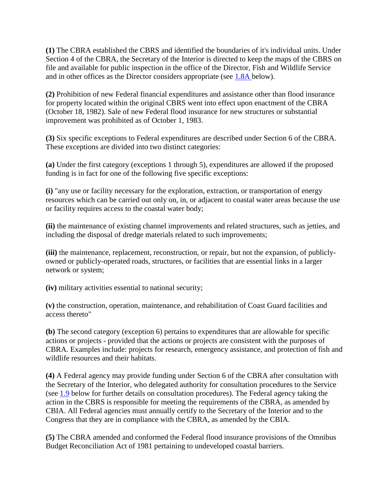**(1)** The CBRA established the CBRS and identified the boundaries of it's individual units. Under Section 4 of the CBRA, the Secretary of the Interior is directed to keep the maps of the CBRS on file and available for public inspection in the office of the Director, Fish and Wildlife Service and in other offices as the Director considers appropriate (see [1.8A b](https://www.fws.gov/policy/651fw1.html#1.8A)elow).

**(2)** Prohibition of new Federal financial expenditures and assistance other than flood insurance for property located within the original CBRS went into effect upon enactment of the CBRA (October 18, 1982). Sale of new Federal flood insurance for new structures or substantial improvement was prohibited as of October 1, 1983.

**(3)** Six specific exceptions to Federal expenditures are described under Section 6 of the CBRA. These exceptions are divided into two distinct categories:

**(a)** Under the first category (exceptions 1 through 5), expenditures are allowed if the proposed funding is in fact for one of the following five specific exceptions:

**(i)** "any use or facility necessary for the exploration, extraction, or transportation of energy resources which can be carried out only on, in, or adjacent to coastal water areas because the use or facility requires access to the coastal water body;

**(ii)** the maintenance of existing channel improvements and related structures, such as jetties, and including the disposal of dredge materials related to such improvements;

**(iii)** the maintenance, replacement, reconstruction, or repair, but not the expansion, of publiclyowned or publicly-operated roads, structures, or facilities that are essential links in a larger network or system;

**(iv)** military activities essential to national security;

**(v)** the construction, operation, maintenance, and rehabilitation of Coast Guard facilities and access thereto"

**(b)** The second category (exception 6) pertains to expenditures that are allowable for specific actions or projects - provided that the actions or projects are consistent with the purposes of CBRA. Examples include: projects for research, emergency assistance, and protection of fish and wildlife resources and their habitats.

**(4)** A Federal agency may provide funding under Section 6 of the CBRA after consultation with the Secretary of the Interior, who delegated authority for consultation procedures to the Service (see [1.9](https://www.fws.gov/policy/651fw1.html#1.9) below for further details on consultation procedures). The Federal agency taking the action in the CBRS is responsible for meeting the requirements of the CBRA, as amended by CBIA. All Federal agencies must annually certify to the Secretary of the Interior and to the Congress that they are in compliance with the CBRA, as amended by the CBIA.

**(5)** The CBRA amended and conformed the Federal flood insurance provisions of the Omnibus Budget Reconciliation Act of 1981 pertaining to undeveloped coastal barriers.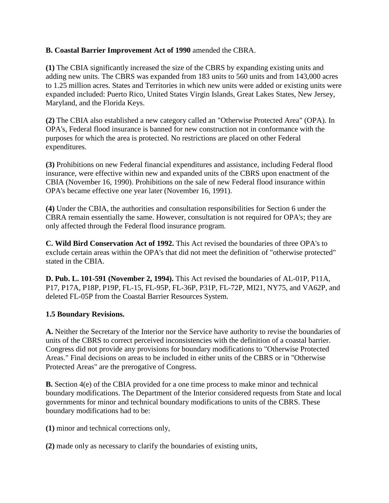#### **B. Coastal Barrier Improvement Act of 1990** amended the CBRA.

**(1)** The CBIA significantly increased the size of the CBRS by expanding existing units and adding new units. The CBRS was expanded from 183 units to 560 units and from 143,000 acres to 1.25 million acres. States and Territories in which new units were added or existing units were expanded included: Puerto Rico, United States Virgin Islands, Great Lakes States, New Jersey, Maryland, and the Florida Keys.

**(2)** The CBIA also established a new category called an "Otherwise Protected Area" (OPA). In OPA's, Federal flood insurance is banned for new construction not in conformance with the purposes for which the area is protected. No restrictions are placed on other Federal expenditures.

**(3)** Prohibitions on new Federal financial expenditures and assistance, including Federal flood insurance, were effective within new and expanded units of the CBRS upon enactment of the CBIA (November 16, 1990). Prohibitions on the sale of new Federal flood insurance within OPA's became effective one year later (November 16, 1991).

**(4)** Under the CBIA, the authorities and consultation responsibilities for Section 6 under the CBRA remain essentially the same. However, consultation is not required for OPA's; they are only affected through the Federal flood insurance program.

**C. Wild Bird Conservation Act of 1992.** This Act revised the boundaries of three OPA's to exclude certain areas within the OPA's that did not meet the definition of "otherwise protected" stated in the CBIA.

**D. Pub. L. 101-591 (November 2, 1994).** This Act revised the boundaries of AL-01P, P11A, P17, P17A, P18P, P19P, FL-15, FL-95P, FL-36P, P31P, FL-72P, MI21, NY75, and VA62P, and deleted FL-05P from the Coastal Barrier Resources System.

# **1.5 Boundary Revisions.**

**A.** Neither the Secretary of the Interior nor the Service have authority to revise the boundaries of units of the CBRS to correct perceived inconsistencies with the definition of a coastal barrier. Congress did not provide any provisions for boundary modifications to "Otherwise Protected Areas." Final decisions on areas to be included in either units of the CBRS or in "Otherwise Protected Areas" are the prerogative of Congress.

**B.** Section 4(e) of the CBIA provided for a one time process to make minor and technical boundary modifications. The Department of the Interior considered requests from State and local governments for minor and technical boundary modifications to units of the CBRS. These boundary modifications had to be:

**(1)** minor and technical corrections only,

**(2)** made only as necessary to clarify the boundaries of existing units,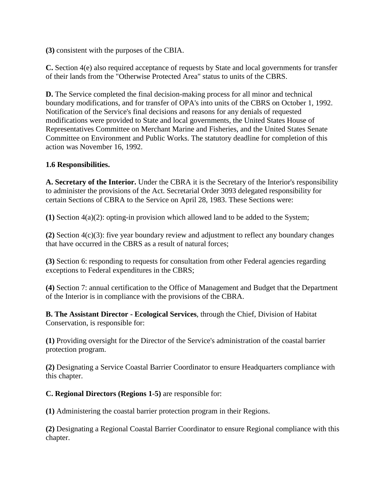**(3)** consistent with the purposes of the CBIA.

**C.** Section 4(e) also required acceptance of requests by State and local governments for transfer of their lands from the "Otherwise Protected Area" status to units of the CBRS.

**D.** The Service completed the final decision-making process for all minor and technical boundary modifications, and for transfer of OPA's into units of the CBRS on October 1, 1992. Notification of the Service's final decisions and reasons for any denials of requested modifications were provided to State and local governments, the United States House of Representatives Committee on Merchant Marine and Fisheries, and the United States Senate Committee on Environment and Public Works. The statutory deadline for completion of this action was November 16, 1992.

### **1.6 Responsibilities.**

**A. Secretary of the Interior.** Under the CBRA it is the Secretary of the Interior's responsibility to administer the provisions of the Act. Secretarial Order 3093 delegated responsibility for certain Sections of CBRA to the Service on April 28, 1983. These Sections were:

**(1)** Section 4(a)(2): opting-in provision which allowed land to be added to the System;

**(2)** Section 4(c)(3): five year boundary review and adjustment to reflect any boundary changes that have occurred in the CBRS as a result of natural forces;

**(3)** Section 6: responding to requests for consultation from other Federal agencies regarding exceptions to Federal expenditures in the CBRS;

**(4)** Section 7: annual certification to the Office of Management and Budget that the Department of the Interior is in compliance with the provisions of the CBRA.

**B. The Assistant Director - Ecological Services**, through the Chief, Division of Habitat Conservation, is responsible for:

**(1)** Providing oversight for the Director of the Service's administration of the coastal barrier protection program.

**(2)** Designating a Service Coastal Barrier Coordinator to ensure Headquarters compliance with this chapter.

**C. Regional Directors (Regions 1-5)** are responsible for:

**(1)** Administering the coastal barrier protection program in their Regions.

**(2)** Designating a Regional Coastal Barrier Coordinator to ensure Regional compliance with this chapter.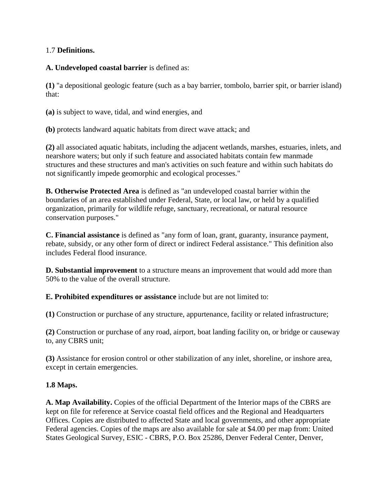#### 1.7 **Definitions.**

**A. Undeveloped coastal barrier** is defined as:

**(1)** "a depositional geologic feature (such as a bay barrier, tombolo, barrier spit, or barrier island) that:

**(a)** is subject to wave, tidal, and wind energies, and

**(b)** protects landward aquatic habitats from direct wave attack; and

**(2)** all associated aquatic habitats, including the adjacent wetlands, marshes, estuaries, inlets, and nearshore waters; but only if such feature and associated habitats contain few manmade structures and these structures and man's activities on such feature and within such habitats do not significantly impede geomorphic and ecological processes."

**B. Otherwise Protected Area** is defined as "an undeveloped coastal barrier within the boundaries of an area established under Federal, State, or local law, or held by a qualified organization, primarily for wildlife refuge, sanctuary, recreational, or natural resource conservation purposes."

**C. Financial assistance** is defined as "any form of loan, grant, guaranty, insurance payment, rebate, subsidy, or any other form of direct or indirect Federal assistance." This definition also includes Federal flood insurance.

**D. Substantial improvement** to a structure means an improvement that would add more than 50% to the value of the overall structure.

**E. Prohibited expenditures or assistance** include but are not limited to:

**(1)** Construction or purchase of any structure, appurtenance, facility or related infrastructure;

**(2)** Construction or purchase of any road, airport, boat landing facility on, or bridge or causeway to, any CBRS unit;

**(3)** Assistance for erosion control or other stabilization of any inlet, shoreline, or inshore area, except in certain emergencies.

# **1.8 Maps.**

**A. Map Availability.** Copies of the official Department of the Interior maps of the CBRS are kept on file for reference at Service coastal field offices and the Regional and Headquarters Offices. Copies are distributed to affected State and local governments, and other appropriate Federal agencies. Copies of the maps are also available for sale at \$4.00 per map from: United States Geological Survey, ESIC - CBRS, P.O. Box 25286, Denver Federal Center, Denver,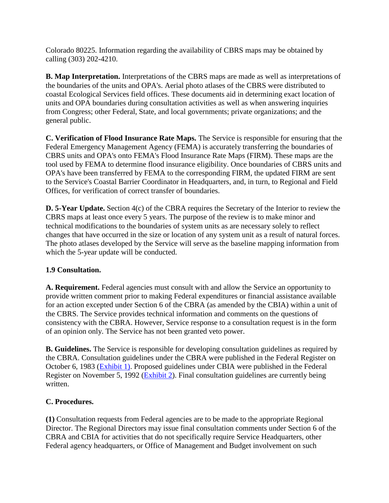Colorado 80225. Information regarding the availability of CBRS maps may be obtained by calling (303) 202-4210.

**B. Map Interpretation.** Interpretations of the CBRS maps are made as well as interpretations of the boundaries of the units and OPA's. Aerial photo atlases of the CBRS were distributed to coastal Ecological Services field offices. These documents aid in determining exact location of units and OPA boundaries during consultation activities as well as when answering inquiries from Congress; other Federal, State, and local governments; private organizations; and the general public.

**C. Verification of Flood Insurance Rate Maps.** The Service is responsible for ensuring that the Federal Emergency Management Agency (FEMA) is accurately transferring the boundaries of CBRS units and OPA's onto FEMA's Flood Insurance Rate Maps (FIRM). These maps are the tool used by FEMA to determine flood insurance eligibility. Once boundaries of CBRS units and OPA's have been transferred by FEMA to the corresponding FIRM, the updated FIRM are sent to the Service's Coastal Barrier Coordinator in Headquarters, and, in turn, to Regional and Field Offices, for verification of correct transfer of boundaries.

**D. 5-Year Update.** Section 4(c) of the CBRA requires the Secretary of the Interior to review the CBRS maps at least once every 5 years. The purpose of the review is to make minor and technical modifications to the boundaries of system units as are necessary solely to reflect changes that have occurred in the size or location of any system unit as a result of natural forces. The photo atlases developed by the Service will serve as the baseline mapping information from which the 5-year update will be conducted.

#### **1.9 Consultation.**

**A. Requirement.** Federal agencies must consult with and allow the Service an opportunity to provide written comment prior to making Federal expenditures or financial assistance available for an action excepted under Section 6 of the CBRA (as amended by the CBIA) within a unit of the CBRS. The Service provides technical information and comments on the questions of consistency with the CBRA. However, Service response to a consultation request is in the form of an opinion only. The Service has not been granted veto power.

**B. Guidelines.** The Service is responsible for developing consultation guidelines as required by the CBRA. Consultation guidelines under the CBRA were published in the Federal Register on October 6, 1983 [\(Exhibit 1\).](https://www.fws.gov/policy/E1651fw1.html) Proposed guidelines under CBIA were published in the Federal Register on November 5, 1992 [\(Exhibit 2\)](https://www.fws.gov/policy/E2651fw1.html). Final consultation guidelines are currently being written.

#### **C. Procedures.**

**(1)** Consultation requests from Federal agencies are to be made to the appropriate Regional Director. The Regional Directors may issue final consultation comments under Section 6 of the CBRA and CBIA for activities that do not specifically require Service Headquarters, other Federal agency headquarters, or Office of Management and Budget involvement on such